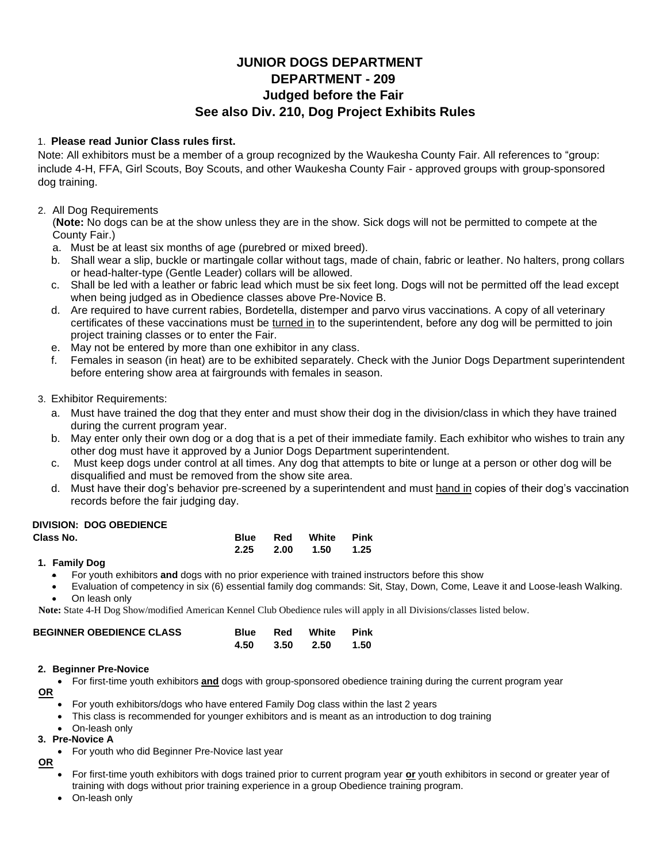## **JUNIOR DOGS DEPARTMENT DEPARTMENT - 209 Judged before the Fair See also Div. 210, Dog Project Exhibits Rules**

### 1. **Please read Junior Class rules first.**

Note: All exhibitors must be a member of a group recognized by the Waukesha County Fair. All references to "group: include 4-H, FFA, Girl Scouts, Boy Scouts, and other Waukesha County Fair - approved groups with group-sponsored dog training.

### 2. All Dog Requirements

(**Note:** No dogs can be at the show unless they are in the show. Sick dogs will not be permitted to compete at the County Fair.)

- a. Must be at least six months of age (purebred or mixed breed).
- b. Shall wear a slip, buckle or martingale collar without tags, made of chain, fabric or leather. No halters, prong collars or head-halter-type (Gentle Leader) collars will be allowed.
- c. Shall be led with a leather or fabric lead which must be six feet long. Dogs will not be permitted off the lead except when being judged as in Obedience classes above Pre-Novice B.
- d. Are required to have current rabies, Bordetella, distemper and parvo virus vaccinations. A copy of all veterinary certificates of these vaccinations must be turned in to the superintendent, before any dog will be permitted to join project training classes or to enter the Fair.
- e. May not be entered by more than one exhibitor in any class.
- f. Females in season (in heat) are to be exhibited separately. Check with the Junior Dogs Department superintendent before entering show area at fairgrounds with females in season.

### 3. Exhibitor Requirements:

- a. Must have trained the dog that they enter and must show their dog in the division/class in which they have trained during the current program year.
- b. May enter only their own dog or a dog that is a pet of their immediate family. Each exhibitor who wishes to train any other dog must have it approved by a Junior Dogs Department superintendent.
- c. Must keep dogs under control at all times. Any dog that attempts to bite or lunge at a person or other dog will be disqualified and must be removed from the show site area.
- d. Must have their dog's behavior pre-screened by a superintendent and must hand in copies of their dog's vaccination records before the fair judging day.

#### **DIVISION: DOG OBEDIENCE**

| Class No. |  | <b>Blue Red White Pink</b> |  |
|-----------|--|----------------------------|--|
|           |  | 2.25 2.00 1.50 1.25        |  |

#### **1. Family Dog**

- For youth exhibitors **and** dogs with no prior experience with trained instructors before this show
- Evaluation of competency in six (6) essential family dog commands: Sit, Stay, Down, Come, Leave it and Loose-leash Walking. On leash only

**Note:** State 4-H Dog Show/modified American Kennel Club Obedience rules will apply in all Divisions/classes listed below.

| <b>BEGINNER OBEDIENCE CLASS</b> |  | <b>Blue</b> Red White Pink |  |
|---------------------------------|--|----------------------------|--|
|                                 |  | 4.50 3.50 2.50 1.50        |  |

#### **2. Beginner Pre-Novice**

• For first-time youth exhibitors **and** dogs with group-sponsored obedience training during the current program year

**OR**

- For youth exhibitors/dogs who have entered Family Dog class within the last 2 years
- This class is recommended for younger exhibitors and is meant as an introduction to dog training
- On-leash only

#### **3. Pre-Novice A**

- For youth who did Beginner Pre-Novice last year
- **OR**
	- For first-time youth exhibitors with dogs trained prior to current program year **or** youth exhibitors in second or greater year of training with dogs without prior training experience in a group Obedience training program.
	- On-leash only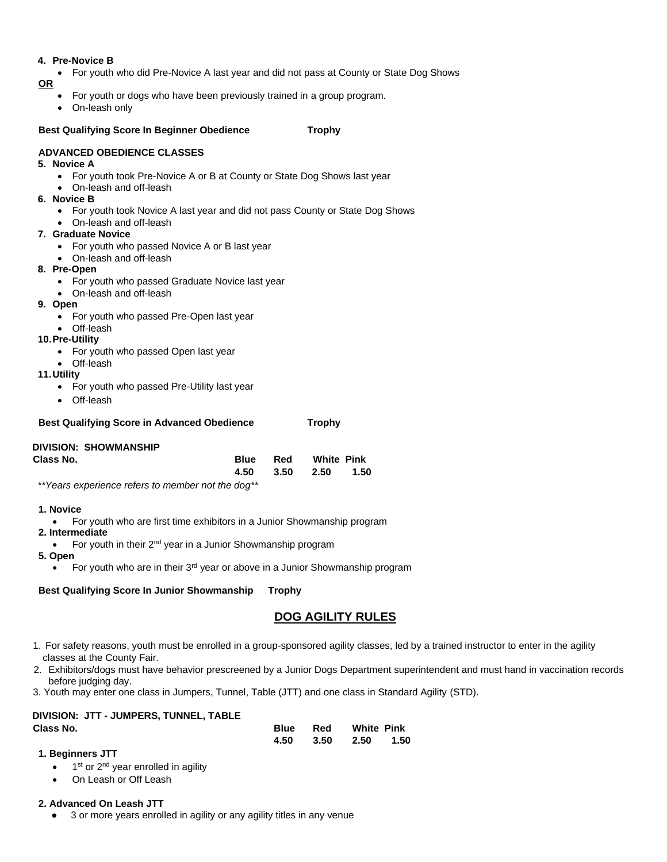#### **4. Pre-Novice B**

• For youth who did Pre-Novice A last year and did not pass at County or State Dog Shows

**OR**

- For youth or dogs who have been previously trained in a group program.
- On-leash only

#### **Best Qualifying Score In Beginner Obedience Trophy**

#### **ADVANCED OBEDIENCE CLASSES**

#### **5. Novice A**

- For youth took Pre-Novice A or B at County or State Dog Shows last year
- On-leash and off-leash

#### **6. Novice B**

- For youth took Novice A last year and did not pass County or State Dog Shows
- On-leash and off-leash

#### **7. Graduate Novice**

- For youth who passed Novice A or B last year
- On-leash and off-leash

#### **8. Pre-Open**

- For youth who passed Graduate Novice last year
- On-leash and off-leash
- **9. Open** 
	- For youth who passed Pre-Open last year
	- Off-leash

#### **10.Pre-Utility**

- For youth who passed Open last year
- Off-leash
- **11.Utility** 
	- For youth who passed Pre-Utility last year
	- Off-leash

| <b>Best Qualifying Score in Advanced Obedience</b> | <b>Trophy</b> |
|----------------------------------------------------|---------------|
|                                                    |               |

#### **DIVISION: SHOWMANSHIP**

| Class No. | <b>Blue</b> Red White Pink |  |
|-----------|----------------------------|--|
|           | 4.50 3.50 2.50 1.50        |  |

*\*\*Years experience refers to member not the dog\*\** 

- **1. Novice**
- For youth who are first time exhibitors in a Junior Showmanship program
- **2. Intermediate**
- For youth in their 2<sup>nd</sup> year in a Junior Showmanship program

#### **5. Open**

For youth who are in their 3<sup>rd</sup> year or above in a Junior Showmanship program

#### **Best Qualifying Score In Junior Showmanship Trophy**

### **DOG AGILITY RULES**

- 1. For safety reasons, youth must be enrolled in a group-sponsored agility classes, led by a trained instructor to enter in the agility classes at the County Fair.
- 2. Exhibitors/dogs must have behavior prescreened by a Junior Dogs Department superintendent and must hand in vaccination records before judging day.
- 3. Youth may enter one class in Jumpers, Tunnel, Table (JTT) and one class in Standard Agility (STD).

# **DIVISION: JTT - JUMPERS, TUNNEL, TABLE**

| Class No. |  | <b>Blue</b> Red White Pink |  |
|-----------|--|----------------------------|--|
|           |  | 4.50 3.50 2.50 1.50        |  |

### **1. Beginners JTT**

- $\bullet$  1<sup>st</sup> or 2<sup>nd</sup> year enrolled in agility
- On Leash or Off Leash

### **2. Advanced On Leash JTT**

3 or more years enrolled in agility or any agility titles in any venue